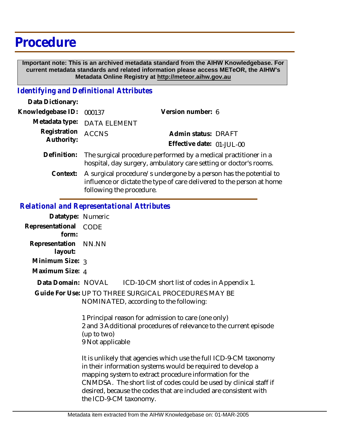# **Procedure**

 **Important note: This is an archived metadata standard from the AIHW Knowledgebase. For current metadata standards and related information please access METeOR, the AIHW's Metadata Online Registry at http://meteor.aihw.gov.au**

### *Identifying and Definitional Attributes*

| Data Dictionary:           |                                                                                                                                            |                           |  |
|----------------------------|--------------------------------------------------------------------------------------------------------------------------------------------|---------------------------|--|
| Knowledgebase ID:          | 000137                                                                                                                                     | Version number: 6         |  |
| Metadata type:             | <b>DATA ELEMENT</b>                                                                                                                        |                           |  |
| Registration<br>Authority: | <b>ACCNS</b>                                                                                                                               | Admin status: DRAFT       |  |
|                            |                                                                                                                                            | Effective date: 01-JUL-00 |  |
| Definition:                | The surgical procedure performed by a medical practitioner in a<br>hospital, day surgery, ambulatory care setting or doctor's rooms.       |                           |  |
| Context:                   | A surgical procedure/s undergone by a person has the potential to<br>influence or dictate the type of care delivered to the person at home |                           |  |

# following the procedure.

#### *Relational and Representational Attributes*

| Datatype: Numeric         |                                 |                                                                                                                                                                                             |
|---------------------------|---------------------------------|---------------------------------------------------------------------------------------------------------------------------------------------------------------------------------------------|
| Representational<br>form: | <b>CODE</b>                     |                                                                                                                                                                                             |
| Representation<br>layout: | NN.NN                           |                                                                                                                                                                                             |
| Minimum Size: 3           |                                 |                                                                                                                                                                                             |
| Maximum Size: 4           |                                 |                                                                                                                                                                                             |
| Data Domain: NOVAL        |                                 | ICD-10-CM short list of codes in Appendix 1.                                                                                                                                                |
|                           |                                 | Guide For Use: UP TO THREE SURGICAL PROCEDURES MAY BE<br>NOMINATED, according to the following:                                                                                             |
|                           | (up to two)<br>9 Not applicable | 1 Principal reason for admission to care (one only)<br>2 and 3 Additional procedures of relevance to the current episode                                                                    |
|                           |                                 | It is unlikely that agencies which use the full ICD-9-CM taxonomy<br>in their information systems would be required to develop a<br>poopping quotanto quirqat proqodura information for the |

mapping system to extract procedure information for the CNMDSA. The short list of codes could be used by clinical staff if desired, because the codes that are included are consistent with the ICD-9-CM taxonomy.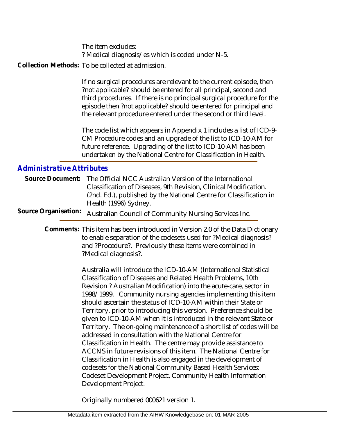The item excludes: ? Medical diagnosis/es which is coded under N-5.

Collection Methods: To be collected at admission.

If no surgical procedures are relevant to the current episode, then ?not applicable? should be entered for all principal, second and third procedures. If there is no principal surgical procedure for the episode then ?not applicable? should be entered for principal and the relevant procedure entered under the second or third level.

The code list which appears in Appendix 1 includes a list of ICD-9- CM Procedure codes and an upgrade of the list to ICD-10-AM for future reference. Upgrading of the list to ICD-10-AM has been undertaken by the National Centre for Classification in Health.

## *Administrative Attributes*

|                      | Source Document: The Official NCC Australian Version of the International |
|----------------------|---------------------------------------------------------------------------|
|                      | Classification of Diseases, 9th Revision, Clinical Modification.          |
|                      | (2nd. Ed.), published by the National Centre for Classification in        |
|                      | Health (1996) Sydney.                                                     |
| Source Organisation: | Australian Council of Community Nursing Services Inc.                     |

Comments: This item has been introduced in Version 2.0 of the Data Dictionary to enable separation of the codesets used for ?Medical diagnosis? and ?Procedure?. Previously these items were combined in ?Medical diagnosis?.

> Australia will introduce the ICD-10-AM (International Statistical Classification of Diseases and Related Health Problems, 10th Revision ? Australian Modification) into the acute-care, sector in 1998/1999. Community nursing agencies implementing this item should ascertain the status of ICD-10-AM within their State or Territory, prior to introducing this version. Preference should be given to ICD-10-AM when it is introduced in the relevant State or Territory. The on-going maintenance of a short list of codes will be addressed in consultation with the National Centre for Classification in Health. The centre may provide assistance to ACCNS in future revisions of this item. The National Centre for Classification in Health is also engaged in the development of codesets for the National Community Based Health Services: Codeset Development Project, Community Health Information Development Project.

Originally numbered 000621 version 1.